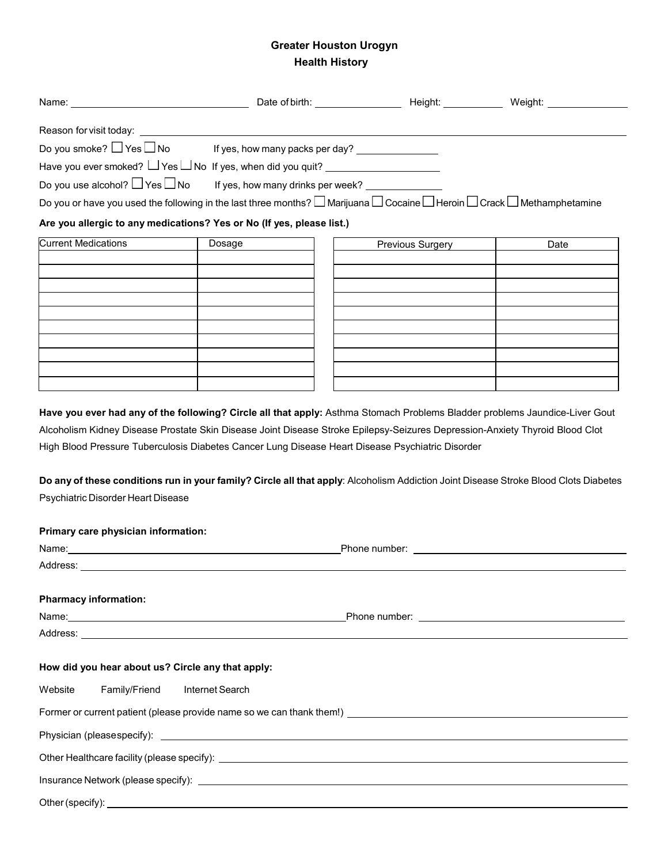## **Greater Houston Urogyn Health History**

|                                                                                                                                                                                                                                | Do you smoke? $\Box$ Yes $\Box$ No If yes, how many packs per day? _________________                                                                                                                                                     |                  |                                                                                                                                                                                                                                      |
|--------------------------------------------------------------------------------------------------------------------------------------------------------------------------------------------------------------------------------|------------------------------------------------------------------------------------------------------------------------------------------------------------------------------------------------------------------------------------------|------------------|--------------------------------------------------------------------------------------------------------------------------------------------------------------------------------------------------------------------------------------|
|                                                                                                                                                                                                                                | Have you ever smoked? U Yes U No If yes, when did you quit? U CONCONDUCT MOVE THE                                                                                                                                                        |                  |                                                                                                                                                                                                                                      |
| Do you use alcohol? $\Box$ Yes $\Box$ No                                                                                                                                                                                       | If yes, how many drinks per week?                                                                                                                                                                                                        |                  |                                                                                                                                                                                                                                      |
|                                                                                                                                                                                                                                | Do you or have you used the following in the last three months? $\Box$ Marijuana $\Box$ Cocaine $\Box$ Heroin $\Box$ Crack $\Box$ Methamphetamine                                                                                        |                  |                                                                                                                                                                                                                                      |
|                                                                                                                                                                                                                                | Are you allergic to any medications? Yes or No (If yes, please list.)                                                                                                                                                                    |                  |                                                                                                                                                                                                                                      |
| <b>Current Medications</b>                                                                                                                                                                                                     | Dosage                                                                                                                                                                                                                                   | Previous Surgery | Date                                                                                                                                                                                                                                 |
|                                                                                                                                                                                                                                |                                                                                                                                                                                                                                          |                  |                                                                                                                                                                                                                                      |
|                                                                                                                                                                                                                                |                                                                                                                                                                                                                                          |                  |                                                                                                                                                                                                                                      |
|                                                                                                                                                                                                                                |                                                                                                                                                                                                                                          |                  |                                                                                                                                                                                                                                      |
|                                                                                                                                                                                                                                |                                                                                                                                                                                                                                          |                  |                                                                                                                                                                                                                                      |
|                                                                                                                                                                                                                                |                                                                                                                                                                                                                                          |                  |                                                                                                                                                                                                                                      |
|                                                                                                                                                                                                                                |                                                                                                                                                                                                                                          |                  |                                                                                                                                                                                                                                      |
|                                                                                                                                                                                                                                |                                                                                                                                                                                                                                          |                  |                                                                                                                                                                                                                                      |
|                                                                                                                                                                                                                                |                                                                                                                                                                                                                                          |                  |                                                                                                                                                                                                                                      |
|                                                                                                                                                                                                                                | Have you ever had any of the following? Circle all that apply: Asthma Stomach Problems Bladder problems Jaundice-Liver Gout                                                                                                              |                  |                                                                                                                                                                                                                                      |
| Psychiatric Disorder Heart Disease                                                                                                                                                                                             | High Blood Pressure Tuberculosis Diabetes Cancer Lung Disease Heart Disease Psychiatric Disorder<br>Do any of these conditions run in your family? Circle all that apply: Alcoholism Addiction Joint Disease Stroke Blood Clots Diabetes |                  |                                                                                                                                                                                                                                      |
| Primary care physician information:                                                                                                                                                                                            |                                                                                                                                                                                                                                          |                  |                                                                                                                                                                                                                                      |
|                                                                                                                                                                                                                                |                                                                                                                                                                                                                                          |                  |                                                                                                                                                                                                                                      |
| Address: Analysis and the contract of the contract of the contract of the contract of the contract of the contract of the contract of the contract of the contract of the contract of the contract of the contract of the cont |                                                                                                                                                                                                                                          |                  |                                                                                                                                                                                                                                      |
| <b>Pharmacy information:</b>                                                                                                                                                                                                   |                                                                                                                                                                                                                                          |                  |                                                                                                                                                                                                                                      |
|                                                                                                                                                                                                                                |                                                                                                                                                                                                                                          |                  | Phone number: <u>contract the contract of the contract of the contract of the contract of the contract of the contract of the contract of the contract of the contract of the contract of the contract of the contract of the co</u> |
|                                                                                                                                                                                                                                |                                                                                                                                                                                                                                          |                  |                                                                                                                                                                                                                                      |
| How did you hear about us? Circle any that apply:                                                                                                                                                                              |                                                                                                                                                                                                                                          |                  |                                                                                                                                                                                                                                      |
| Website<br>Family/Friend                                                                                                                                                                                                       | Internet Search                                                                                                                                                                                                                          |                  |                                                                                                                                                                                                                                      |
|                                                                                                                                                                                                                                |                                                                                                                                                                                                                                          |                  |                                                                                                                                                                                                                                      |
|                                                                                                                                                                                                                                |                                                                                                                                                                                                                                          |                  |                                                                                                                                                                                                                                      |
|                                                                                                                                                                                                                                |                                                                                                                                                                                                                                          |                  |                                                                                                                                                                                                                                      |
|                                                                                                                                                                                                                                |                                                                                                                                                                                                                                          |                  |                                                                                                                                                                                                                                      |
|                                                                                                                                                                                                                                |                                                                                                                                                                                                                                          |                  |                                                                                                                                                                                                                                      |

Other(specify):